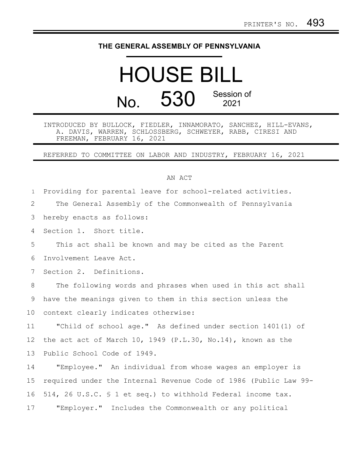## **THE GENERAL ASSEMBLY OF PENNSYLVANIA**

## HOUSE BILL  $N<sub>0</sub>$  530 Session of 2021

## INTRODUCED BY BULLOCK, FIEDLER, INNAMORATO, SANCHEZ, HILL-EVANS, A. DAVIS, WARREN, SCHLOSSBERG, SCHWEYER, RABB, CIRESI AND FREEMAN, FEBRUARY 16, 2021

REFERRED TO COMMITTEE ON LABOR AND INDUSTRY, FEBRUARY 16, 2021

## AN ACT

Providing for parental leave for school-related activities. The General Assembly of the Commonwealth of Pennsylvania hereby enacts as follows: Section 1. Short title. This act shall be known and may be cited as the Parent Involvement Leave Act. Section 2. Definitions. The following words and phrases when used in this act shall have the meanings given to them in this section unless the context clearly indicates otherwise: "Child of school age." As defined under section 1401(1) of the act act of March 10, 1949 (P.L.30, No.14), known as the Public School Code of 1949. "Employee." An individual from whose wages an employer is required under the Internal Revenue Code of 1986 (Public Law 99- 514, 26 U.S.C. § 1 et seq.) to withhold Federal income tax. "Employer." Includes the Commonwealth or any political 1 2 3 4 5 6 7 8 9 10 11 12 13 14 15 16 17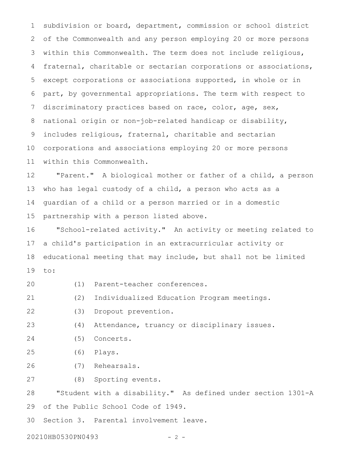subdivision or board, department, commission or school district of the Commonwealth and any person employing 20 or more persons within this Commonwealth. The term does not include religious, fraternal, charitable or sectarian corporations or associations, except corporations or associations supported, in whole or in part, by governmental appropriations. The term with respect to discriminatory practices based on race, color, age, sex, national origin or non-job-related handicap or disability, includes religious, fraternal, charitable and sectarian corporations and associations employing 20 or more persons within this Commonwealth. 1 2 3 4 5 6 7 8 9 10 11

"Parent." A biological mother or father of a child, a person who has legal custody of a child, a person who acts as a guardian of a child or a person married or in a domestic partnership with a person listed above. 12 13 14 15

"School-related activity." An activity or meeting related to a child's participation in an extracurricular activity or educational meeting that may include, but shall not be limited to: 16 17 18 19

- (1) Parent-teacher conferences. 20
- (2) Individualized Education Program meetings. 21
- (3) Dropout prevention. 22
- (4) Attendance, truancy or disciplinary issues. 23
- (5) Concerts. 24
- (6) Plays. 25
- (7) Rehearsals. 26
- (8) Sporting events. 27

"Student with a disability." As defined under section 1301-A of the Public School Code of 1949. 28 29

Section 3. Parental involvement leave. 30

20210HB0530PN0493 - 2 -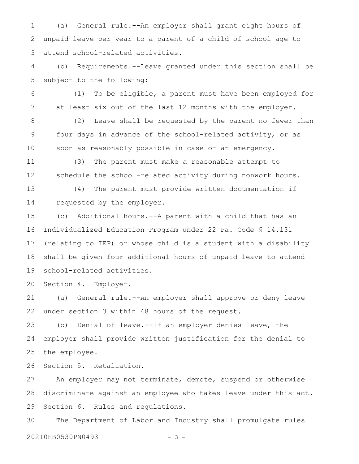(a) General rule.--An employer shall grant eight hours of unpaid leave per year to a parent of a child of school age to attend school-related activities. 1 2 3

(b) Requirements.--Leave granted under this section shall be subject to the following: 4 5

(1) To be eligible, a parent must have been employed for at least six out of the last 12 months with the employer. 6 7

(2) Leave shall be requested by the parent no fewer than four days in advance of the school-related activity, or as soon as reasonably possible in case of an emergency. 8 9 10

(3) The parent must make a reasonable attempt to schedule the school-related activity during nonwork hours. 11 12

(4) The parent must provide written documentation if requested by the employer. 13 14

(c) Additional hours.--A parent with a child that has an Individualized Education Program under 22 Pa. Code § 14.131 (relating to IEP) or whose child is a student with a disability shall be given four additional hours of unpaid leave to attend school-related activities. 15 16 17 18 19

Section 4. Employer. 20

(a) General rule.--An employer shall approve or deny leave under section 3 within 48 hours of the request. 21 22

(b) Denial of leave.--If an employer denies leave, the employer shall provide written justification for the denial to the employee. 23 24 25

Section 5. Retaliation. 26

An employer may not terminate, demote, suspend or otherwise discriminate against an employee who takes leave under this act. Section 6. Rules and regulations. 27 28 29

The Department of Labor and Industry shall promulgate rules 20210HB0530PN0493 - 3 -30